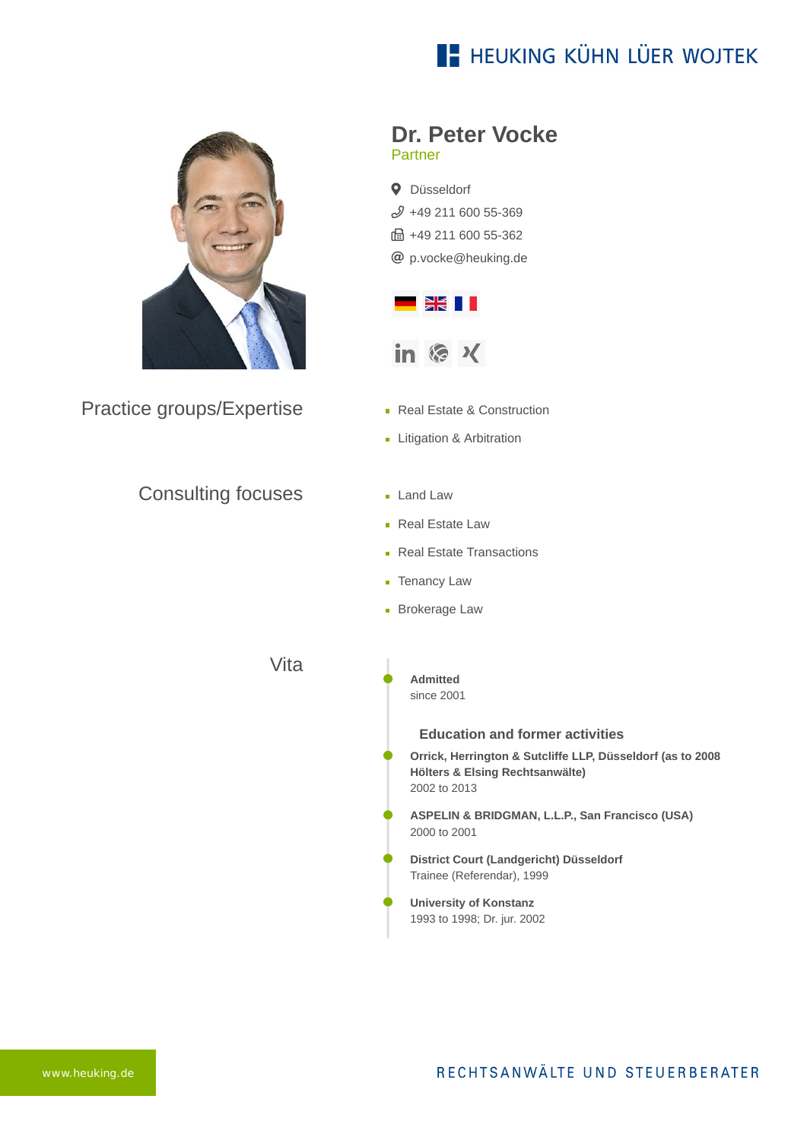## **E- HEUKING KÜHN LÜER WOJTEK**



Practice groups/Expertise

### Consulting focuses

**Dr. Peter Vocke** Partner

**Q** Düsseldorf  $$49$  211 600 55-369 ft: +49 211 600 55-362 [p.vocke@heuking.de](mailto:p.vocke@heuking.de?subject=Contact%20via%20website%20heuking.de)



- Real Estate & Construction
- **Litigation & Arbitration**
- **Land Law**
- Real Estate Law
- **Real Estate Transactions**
- **Tenancy Law**
- **Brokerage Law**

Vita

**Admitted** since 2001

### **Education and former activities**

**Orrick, Herrington & Sutcliffe LLP, Düsseldorf (as to 2008 Hölters & Elsing Rechtsanwälte)** 2002 to 2013

**ASPELIN & BRIDGMAN, L.L.P., San Francisco (USA)** 2000 to 2001

- **District Court (Landgericht) Düsseldorf** Trainee (Referendar), 1999
- **University of Konstanz** 1993 to 1998; Dr. jur. 2002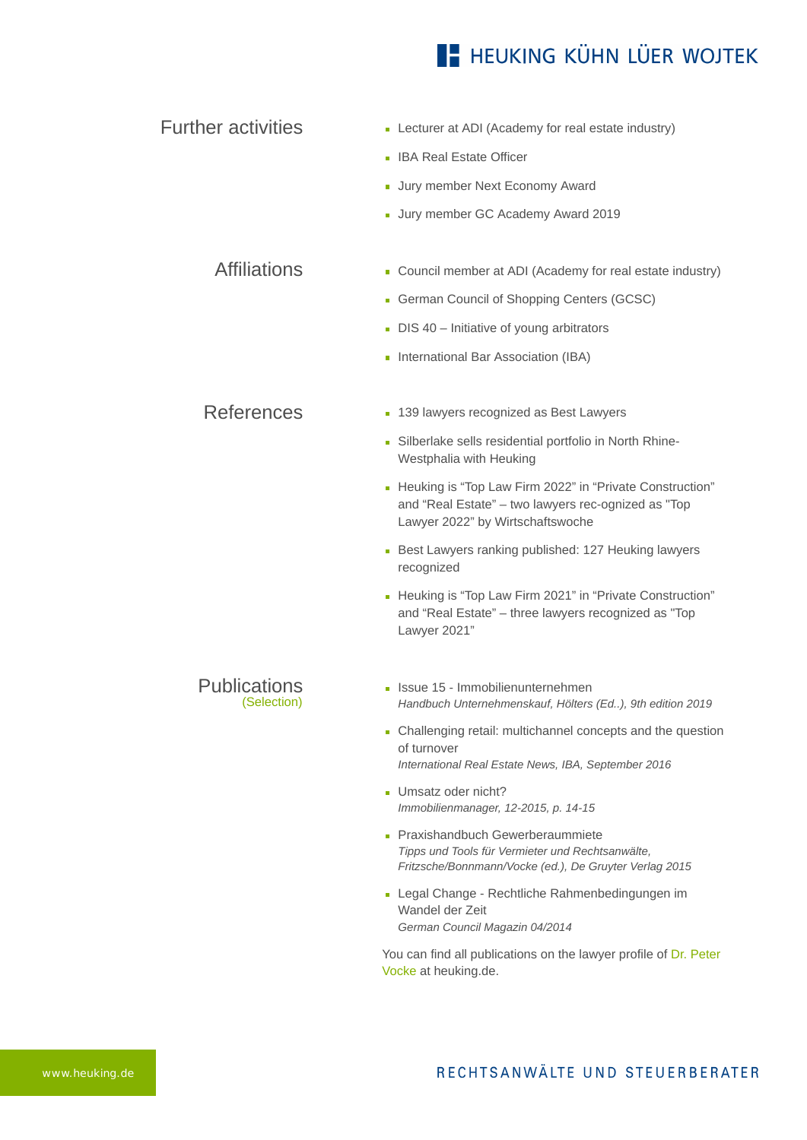# **E** HEUKING KÜHN LÜER WOJTEK

| <b>Further activities</b>          | • Lecturer at ADI (Academy for real estate industry)                                                                                                  |
|------------------------------------|-------------------------------------------------------------------------------------------------------------------------------------------------------|
|                                    | • IBA Real Estate Officer                                                                                                                             |
|                                    | - Jury member Next Economy Award                                                                                                                      |
|                                    | - Jury member GC Academy Award 2019                                                                                                                   |
|                                    |                                                                                                                                                       |
| <b>Affiliations</b>                | • Council member at ADI (Academy for real estate industry)                                                                                            |
|                                    | German Council of Shopping Centers (GCSC)                                                                                                             |
|                                    | $\blacksquare$ DIS 40 – Initiative of young arbitrators                                                                                               |
|                                    | International Bar Association (IBA)                                                                                                                   |
|                                    |                                                                                                                                                       |
| <b>References</b>                  | • 139 lawyers recognized as Best Lawyers                                                                                                              |
|                                    | - Silberlake sells residential portfolio in North Rhine-<br>Westphalia with Heuking                                                                   |
|                                    | - Heuking is "Top Law Firm 2022" in "Private Construction"<br>and "Real Estate" - two lawyers rec-ognized as "Top<br>Lawyer 2022" by Wirtschaftswoche |
|                                    | Best Lawyers ranking published: 127 Heuking lawyers<br>recognized                                                                                     |
|                                    | - Heuking is "Top Law Firm 2021" in "Private Construction"<br>and "Real Estate" - three lawyers recognized as "Top<br>Lawyer 2021"                    |
| <b>Publications</b><br>(Selection) | Issue 15 - Immobilienunternehmen<br>Handbuch Unternehmenskauf, Hölters (Ed), 9th edition 2019                                                         |
|                                    | • Challenging retail: multichannel concepts and the question<br>of turnover<br>International Real Estate News, IBA, September 2016                    |
|                                    | Umsatz oder nicht?<br>Immobilienmanager, 12-2015, p. 14-15                                                                                            |
|                                    | • Praxishandbuch Gewerberaummiete<br>Tipps und Tools für Vermieter und Rechtsanwälte,<br>Fritzsche/Bonnmann/Vocke (ed.), De Gruyter Verlag 2015       |
|                                    | - Legal Change - Rechtliche Rahmenbedingungen im<br>Wandel der Zeit<br>German Council Magazin 04/2014                                                 |
|                                    | You can find all publications on the lawyer profile of Dr. Peter<br>Vocke at heuking.de.                                                              |
|                                    |                                                                                                                                                       |